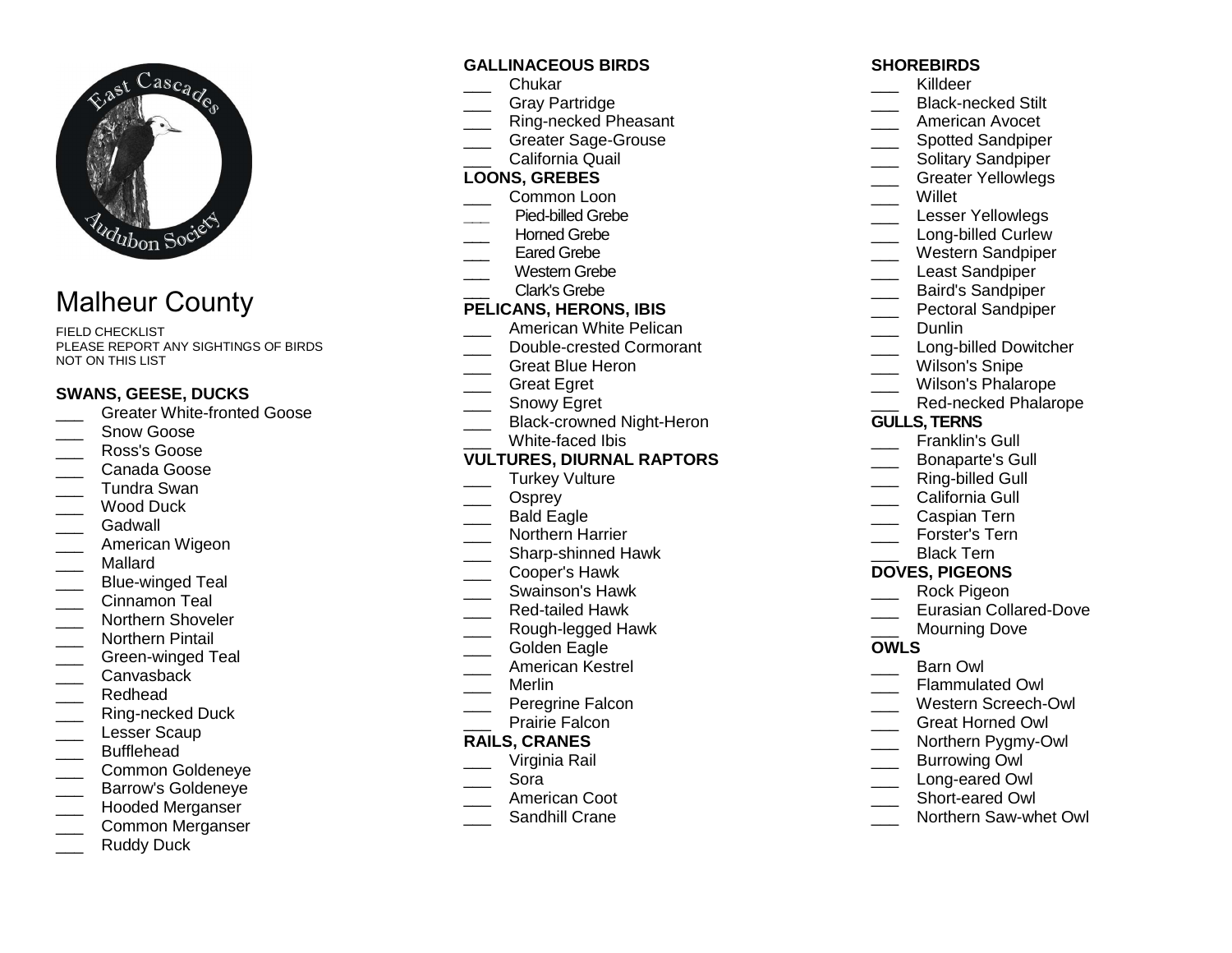

# Malheur County

FIELD CHECKLIST PLEASE REPORT ANY SIGHTINGS OF BIRDS NOT ON THIS LIST

### **SWANS, GEESE, DUCKS**

- **LETT** Greater White-fronted Goose
- Snow Goose
- \_\_\_ Ross's Goose
- \_\_\_ Canada Goose
- \_\_\_ Tundra Swan
- \_\_\_ Wood Duck
- Gadwall
- \_\_\_ American Wigeon
- \_\_\_ Mallard
- \_\_\_ Blue-winged Teal
- \_\_\_ Cinnamon Teal
- \_\_\_\_ Northern Shoveler
- \_\_\_ Northern Pintail
- \_\_\_ Green-winged Teal
- \_\_\_ Canvasback
- \_\_\_ Redhead
- \_\_\_ Ring-necked Duck
- Lesser Scaup
- \_\_\_ Bufflehead
- \_\_\_ Common Goldeneye
- \_\_\_ Barrow's Goldeneye
- \_\_\_ Hooded Merganser
- \_\_\_ Common Merganser
- Ruddy Duck

### **GALLINACEOUS BIRDS**

- \_\_\_ Chukar
- \_\_\_ Gray Partridge
- \_\_\_ Ring-necked Pheasant
- Greater Sage-Grouse
- \_\_\_ California Quail

### **LOONS, GREBES**

- \_\_\_ Common Loon
- **\_\_\_** Pied-billed Grebe
- Horned Grebe
- Eared Grebe
- \_\_\_ Western Grebe Clark's Grebe
	-

### **PELICANS, HERONS, IBIS**

- \_\_\_ American White Pelican
- \_\_\_ Double-crested Cormorant
- Great Blue Heron
- \_\_\_ Great Egret
- \_\_\_\_ Snowy Egret
- \_\_\_ Black-crowned Night-Heron
- White-faced Ibis

### **VULTURES, DIURNAL RAPTORS**

- Turkey Vulture
- \_\_\_ Osprey
- \_\_\_\_ Bald Eagle
- \_\_\_ Northern Harrier
- \_\_\_\_ Sharp-shinned Hawk
- \_\_\_ Cooper's Hawk
- \_\_\_ Swainson's Hawk
- \_\_\_ Red-tailed Hawk
- \_\_\_ Rough-legged Hawk
- Golden Eagle
- \_\_\_ American Kestrel
- \_\_\_ Merlin
- \_\_\_ Peregrine Falcon
- Prairie Falcon

### **RAILS, CRANES**

- \_\_\_ Virginia Rail
- \_\_\_ Sora
- \_\_\_ American Coot
- \_\_\_ Sandhill Crane

### **SHOREBIRDS**

- \_\_\_ Killdeer
- \_\_\_\_ Black-necked Stilt
- American Avocet
- \_\_\_\_ Spotted Sandpiper
- \_\_\_\_ Solitary Sandpiper
- \_\_\_ Greater Yellowlegs
- \_\_\_ Willet
- \_\_\_ Lesser Yellowlegs
- \_\_\_\_ Long-billed Curlew
- \_\_\_ Western Sandpiper
- Least Sandpiper
- \_\_\_ Baird's Sandpiper
- \_\_\_ Pectoral Sandpiper
- \_\_\_ Dunlin
- \_\_\_\_ Long-billed Dowitcher
- Wilson's Snipe
- 
- \_\_\_ Wilson's Phalarope
- \_\_\_ Red-necked Phalarope

### **GULLS, TERNS**

- \_\_\_ Franklin's Gull
- \_\_\_ Bonaparte's Gull
- Ring-billed Gull
- California Gull
- Caspian Tern
- \_\_\_ Forster's Tern
- Black Tern

# **DOVES, PIGEONS**

\_\_\_ Barn Owl

**OWLS** 

- \_\_\_ Rock Pigeon
- \_\_\_ Eurasian Collared-Dove

\_\_\_ Northern Saw-whet Owl

Mourning Dove

 \_\_\_ Flammulated Owl \_\_\_ Western Screech-Owl \_\_\_ Great Horned Owl \_\_\_ Northern Pygmy-Owl Burrowing Owl \_\_\_ Long-eared Owl \_\_\_ Short-eared Owl